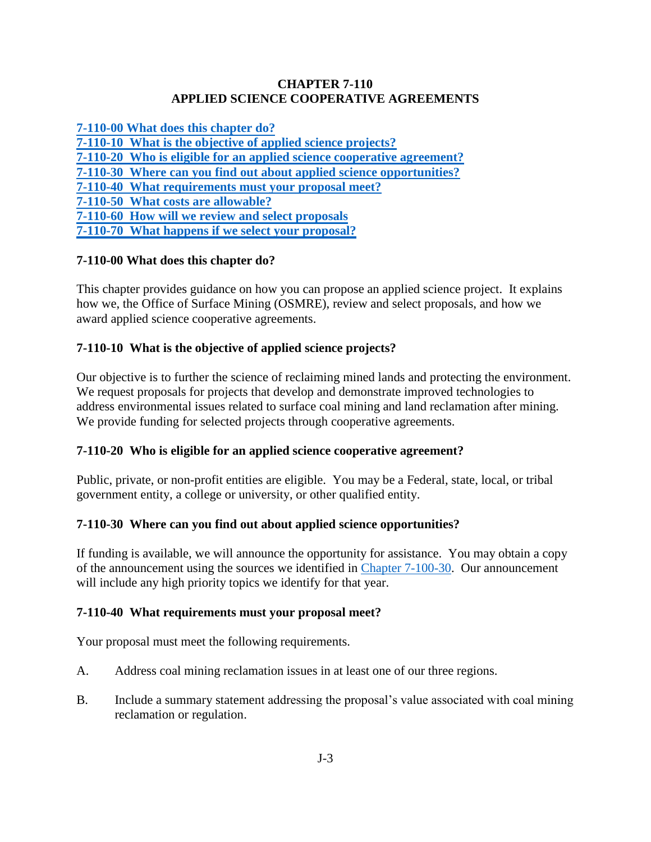### **CHAPTER 7-110 APPLIED SCIENCE COOPERATIVE AGREEMENTS**

**[7-110-00 What does this chapter do?](#page-0-0)**

<span id="page-0-0"></span>**[7-110-10 What is the objective of applied science projects?](#page-0-1)**

**[7-110-20 Who is eligible for an applied science cooperative agreement?](#page-0-2)**

**[7-110-30 Where can you find out about applied science opportunities?](#page-0-3)**

**[7-110-40 What requirements must your proposal meet?](#page-0-4)**

**[7-110-50 What costs are allowable?](#page-1-0)**

**[7-110-60 How will we review and select proposals](#page-1-1)**

**[7-110-70 What happens if we select your proposal?](#page-1-2)**

# **7-110-00 What does this chapter do?**

This chapter provides guidance on how you can propose an applied science project. It explains how we, the Office of Surface Mining (OSMRE), review and select proposals, and how we award applied science cooperative agreements.

# <span id="page-0-1"></span>**7-110-10 What is the objective of applied science projects?**

Our objective is to further the science of reclaiming mined lands and protecting the environment. We request proposals for projects that develop and demonstrate improved technologies to address environmental issues related to surface coal mining and land reclamation after mining. We provide funding for selected projects through cooperative agreements.

## <span id="page-0-2"></span>**7-110-20 Who is eligible for an applied science cooperative agreement?**

Public, private, or non-profit entities are eligible. You may be a Federal, state, local, or tribal government entity, a college or university, or other qualified entity.

## <span id="page-0-3"></span>**7-110-30 Where can you find out about applied science opportunities?**

If funding is available, we will announce the opportunity for assistance. You may obtain a copy of the announcement using the sources we identified in [Chapter 7-100-30.](https://www.osmre.gov/lrg/fam/7-100.pdf) Our announcement will include any high priority topics we identify for that year.

## <span id="page-0-4"></span>**7-110-40 What requirements must your proposal meet?**

Your proposal must meet the following requirements.

- A. Address coal mining reclamation issues in at least one of our three regions.
- B. Include a summary statement addressing the proposal's value associated with coal mining reclamation or regulation.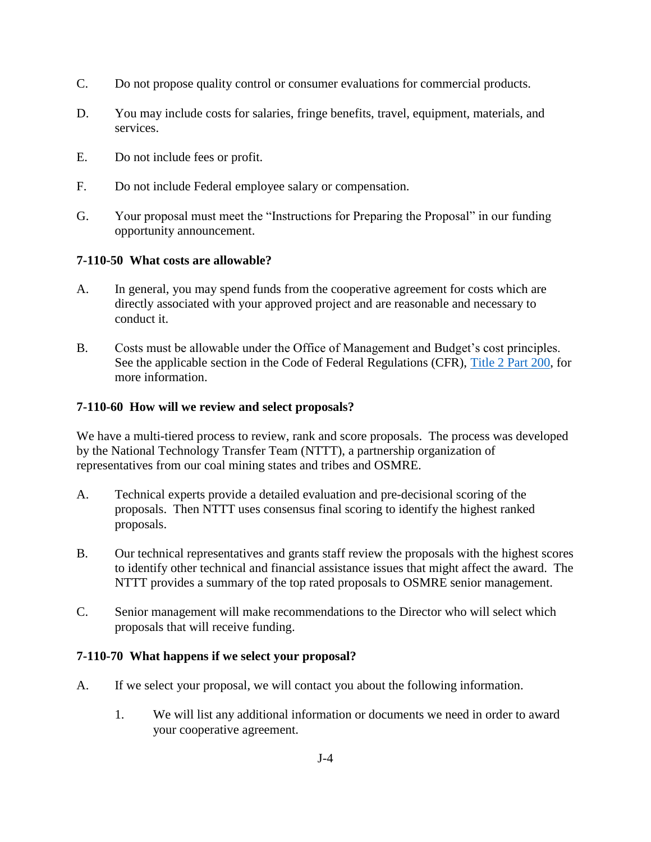- C. Do not propose quality control or consumer evaluations for commercial products.
- D. You may include costs for salaries, fringe benefits, travel, equipment, materials, and services.
- E. Do not include fees or profit.
- F. Do not include Federal employee salary or compensation.
- G. Your proposal must meet the "Instructions for Preparing the Proposal" in our funding opportunity announcement.

### <span id="page-1-0"></span>**7-110-50 What costs are allowable?**

- A. In general, you may spend funds from the cooperative agreement for costs which are directly associated with your approved project and are reasonable and necessary to conduct it.
- B. Costs must be allowable under the Office of Management and Budget's cost principles. See the applicable section in the Code of Federal Regulations (CFR), [Title 2 Part 200,](http://www.ecfr.gov/cgi-bin/text-idx?SID=704683b1fd8e579c28d796d8b73e0e79&node=pt2.1.200&rgn=div5) for more information.

### <span id="page-1-1"></span>**7-110-60 How will we review and select proposals?**

We have a multi-tiered process to review, rank and score proposals. The process was developed by the National Technology Transfer Team (NTTT), a partnership organization of representatives from our coal mining states and tribes and OSMRE.

- A. Technical experts provide a detailed evaluation and pre-decisional scoring of the proposals. Then NTTT uses consensus final scoring to identify the highest ranked proposals.
- B. Our technical representatives and grants staff review the proposals with the highest scores to identify other technical and financial assistance issues that might affect the award. The NTTT provides a summary of the top rated proposals to OSMRE senior management.
- C. Senior management will make recommendations to the Director who will select which proposals that will receive funding.

#### <span id="page-1-2"></span>**7-110-70 What happens if we select your proposal?**

- A. If we select your proposal, we will contact you about the following information.
	- 1. We will list any additional information or documents we need in order to award your cooperative agreement.